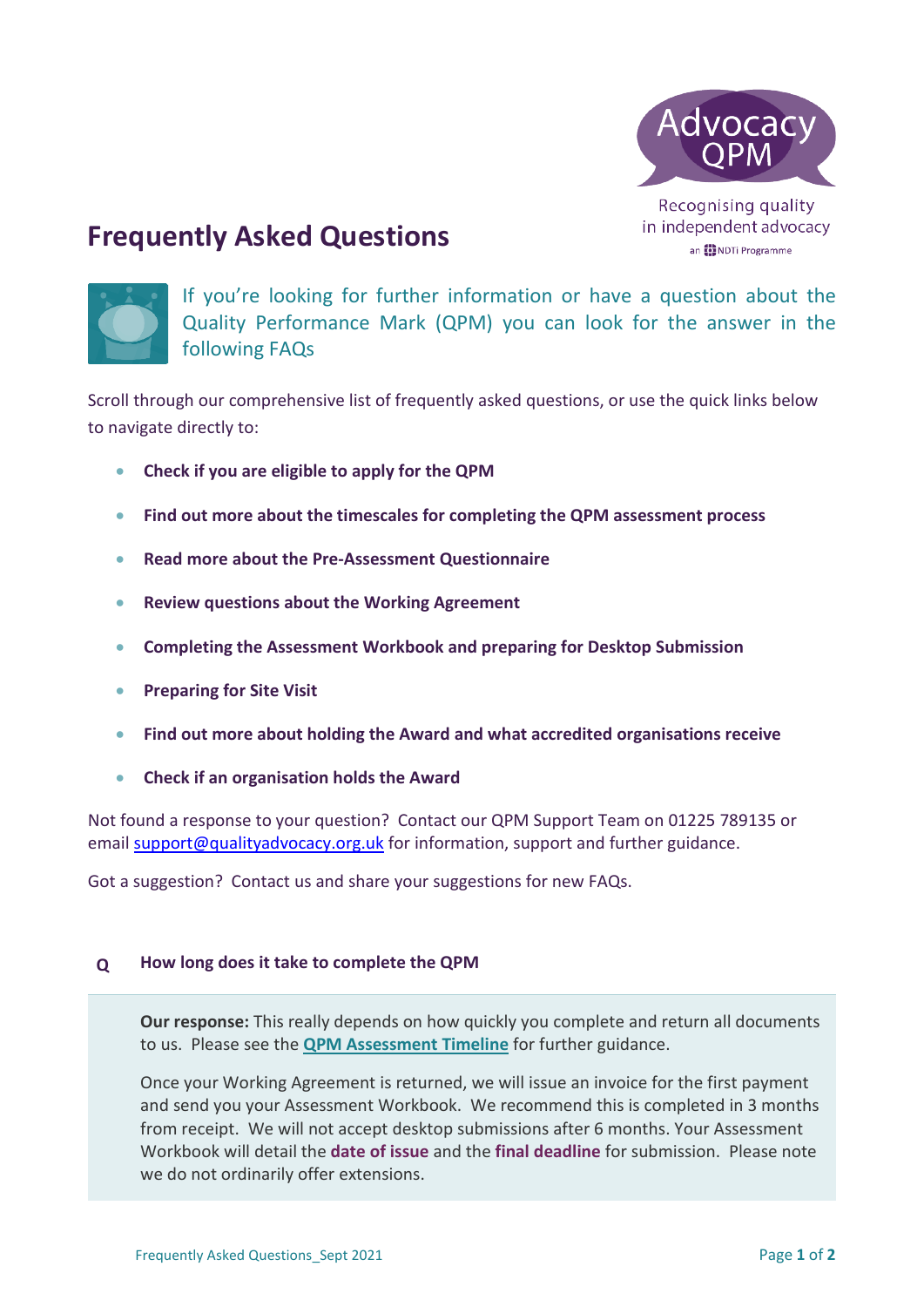

Recognising quality in independent advocacy an **[2]** NDTi Programme

# **Frequently Asked Questions**



If you're looking for further information or have a question about the Quality Performance Mark (QPM) you can look for the answer in the following FAQs

Scroll through our comprehensive list of frequently asked questions, or use the quick links below to navigate directly to:

- **[Check if you are eligible to apply for the QPM](#page-2-0)**
- **[Find out more about the timescales for completing the QPM assessment process](#page-0-0)**
- **Read more about the [Pre-Assessment Questionnaire](#page-3-0)**
- **[Review questions about the](#page-4-0) Working Agreement**
- **[Completing the Assessment Workbook and preparing for Desktop Submission](#page-4-1)**
- **[Preparing for Site Visit](#page-7-0)**
- **[Find out more about holding the Award and what](#page-8-0) accredited organisations receive**
- **[Check if an organisation holds the Award](#page-9-0)**

Not found a response to your question? Contact our QPM Support Team on 01225 789135 or email [support@qualityadvocacy.org.uk](mailto:support@qualityadvocacy.org.uk) for information, support and further guidance.

Got a suggestion? Contact us and share your suggestions for new FAQs.

# <span id="page-0-0"></span>**Q How long does it take to complete the QPM**

**Our response:** This really depends on how quickly you complete and return all documents to us. Please see the **[QPM Assessment Timeline](http://www.qualityadvocacy.org.uk/resources/timeline/)** for further guidance.

Once your Working Agreement is returned, we will issue an invoice for the first payment and send you your Assessment Workbook. We recommend this is completed in 3 months from receipt. We will not accept desktop submissions after 6 months. Your Assessment Workbook will detail the **date of issue** and the **final deadline** for submission. Please note we do not ordinarily offer extensions.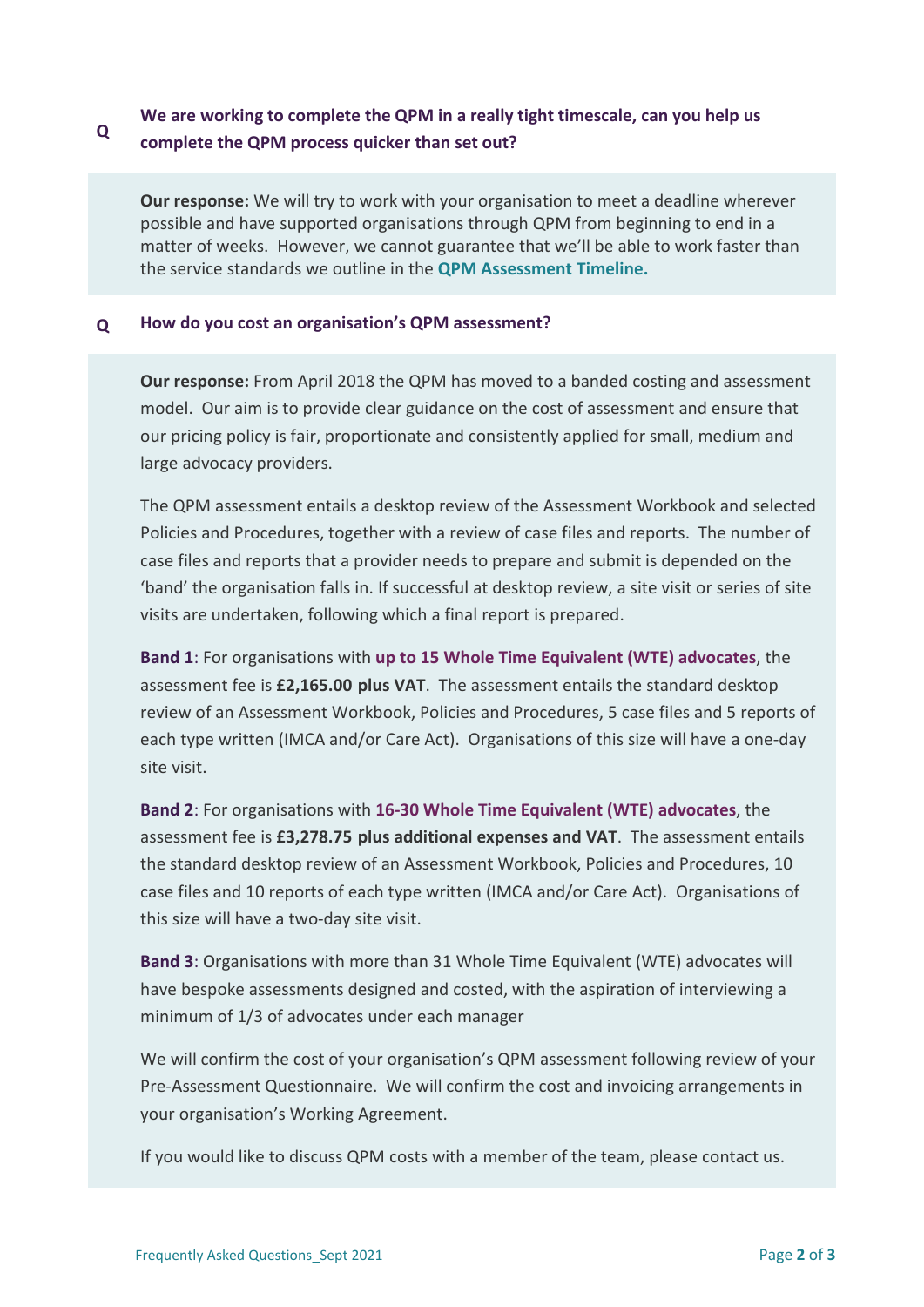#### **Q We are working to complete the QPM in a really tight timescale, can you help us complete the QPM process quicker than set out?**

**Our response:** We will try to work with your organisation to meet a deadline wherever possible and have supported organisations through QPM from beginning to end in a matter of weeks. However, we cannot guarantee that we'll be able to work faster than the service standards we outline in the **QPM Assessment Timeline.**

# **Q How do you cost an organisation's QPM assessment?**

**Our response:** From April 2018 the QPM has moved to a banded costing and assessment model. Our aim is to provide clear guidance on the cost of assessment and ensure that our pricing policy is fair, proportionate and consistently applied for small, medium and large advocacy providers.

The QPM assessment entails a desktop review of the Assessment Workbook and selected Policies and Procedures, together with a review of case files and reports. The number of case files and reports that a provider needs to prepare and submit is depended on the 'band' the organisation falls in. If successful at desktop review, a site visit or series of site visits are undertaken, following which a final report is prepared.

**Band 1**: For organisations with **up to 15 Whole Time Equivalent (WTE) advocates**, the assessment fee is **£2,165.00 plus VAT**. The assessment entails the standard desktop review of an Assessment Workbook, Policies and Procedures, 5 case files and 5 reports of each type written (IMCA and/or Care Act). Organisations of this size will have a one-day site visit.

**Band 2**: For organisations with **16-30 Whole Time Equivalent (WTE) advocates**, the assessment fee is **£3,278.75 plus additional expenses and VAT**. The assessment entails the standard desktop review of an Assessment Workbook, Policies and Procedures, 10 case files and 10 reports of each type written (IMCA and/or Care Act). Organisations of this size will have a two-day site visit.

**Band 3**: Organisations with more than 31 Whole Time Equivalent (WTE) advocates will have bespoke assessments designed and costed, with the aspiration of interviewing a minimum of 1/3 of advocates under each manager

We will confirm the cost of your organisation's QPM assessment following review of your Pre-Assessment Questionnaire. We will confirm the cost and invoicing arrangements in your organisation's Working Agreement.

If you would like to discuss QPM costs with a member of the team, please contact us.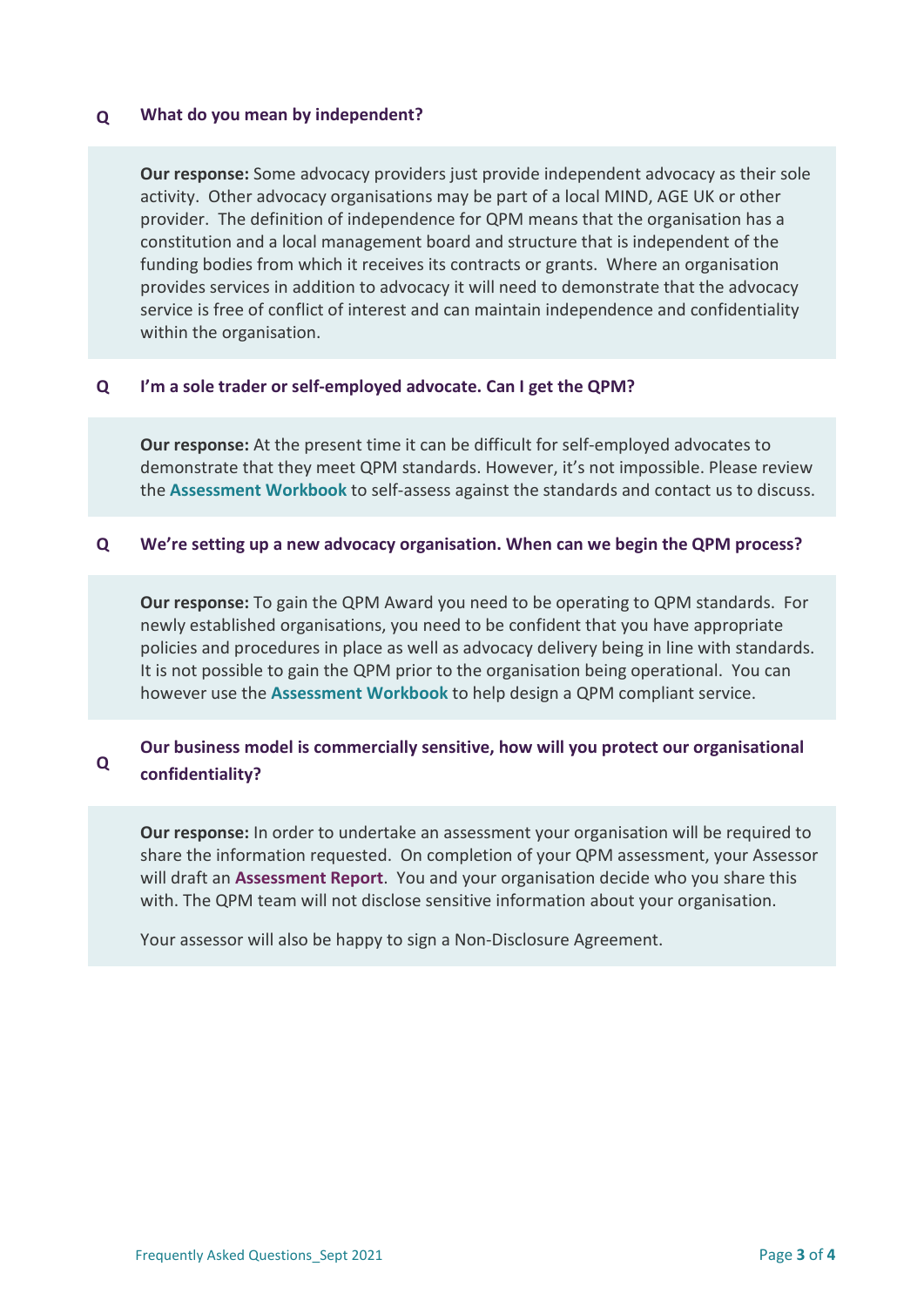# <span id="page-2-0"></span>**Q What do you mean by independent?**

**Our response:** Some advocacy providers just provide independent advocacy as their sole activity. Other advocacy organisations may be part of a local MIND, AGE UK or other provider. The definition of independence for QPM means that the organisation has a constitution and a local management board and structure that is independent of the funding bodies from which it receives its contracts or grants. Where an organisation provides services in addition to advocacy it will need to demonstrate that the advocacy service is free of conflict of interest and can maintain independence and confidentiality within the organisation.

# **Q I'm a sole trader or self-employed advocate. Can I get the QPM?**

**Our response:** At the present time it can be difficult for self-employed advocates to demonstrate that they meet QPM standards. However, it's not impossible. Please review the **Assessment Workbook** to self-assess against the standards and contact us to discuss.

# **Q We're setting up a new advocacy organisation. When can we begin the QPM process?**

**Our response:** To gain the QPM Award you need to be operating to QPM standards. For newly established organisations, you need to be confident that you have appropriate policies and procedures in place as well as advocacy delivery being in line with standards. It is not possible to gain the QPM prior to the organisation being operational. You can however use the **Assessment Workbook** to help design a QPM compliant service.

#### **Q Our business model is commercially sensitive, how will you protect our organisational confidentiality?**

**Our response:** In order to undertake an assessment your organisation will be required to share the information requested. On completion of your QPM assessment, your Assessor will draft an **Assessment Report**. You and your organisation decide who you share this with. The QPM team will not disclose sensitive information about your organisation.

Your assessor will also be happy to sign a Non-Disclosure Agreement.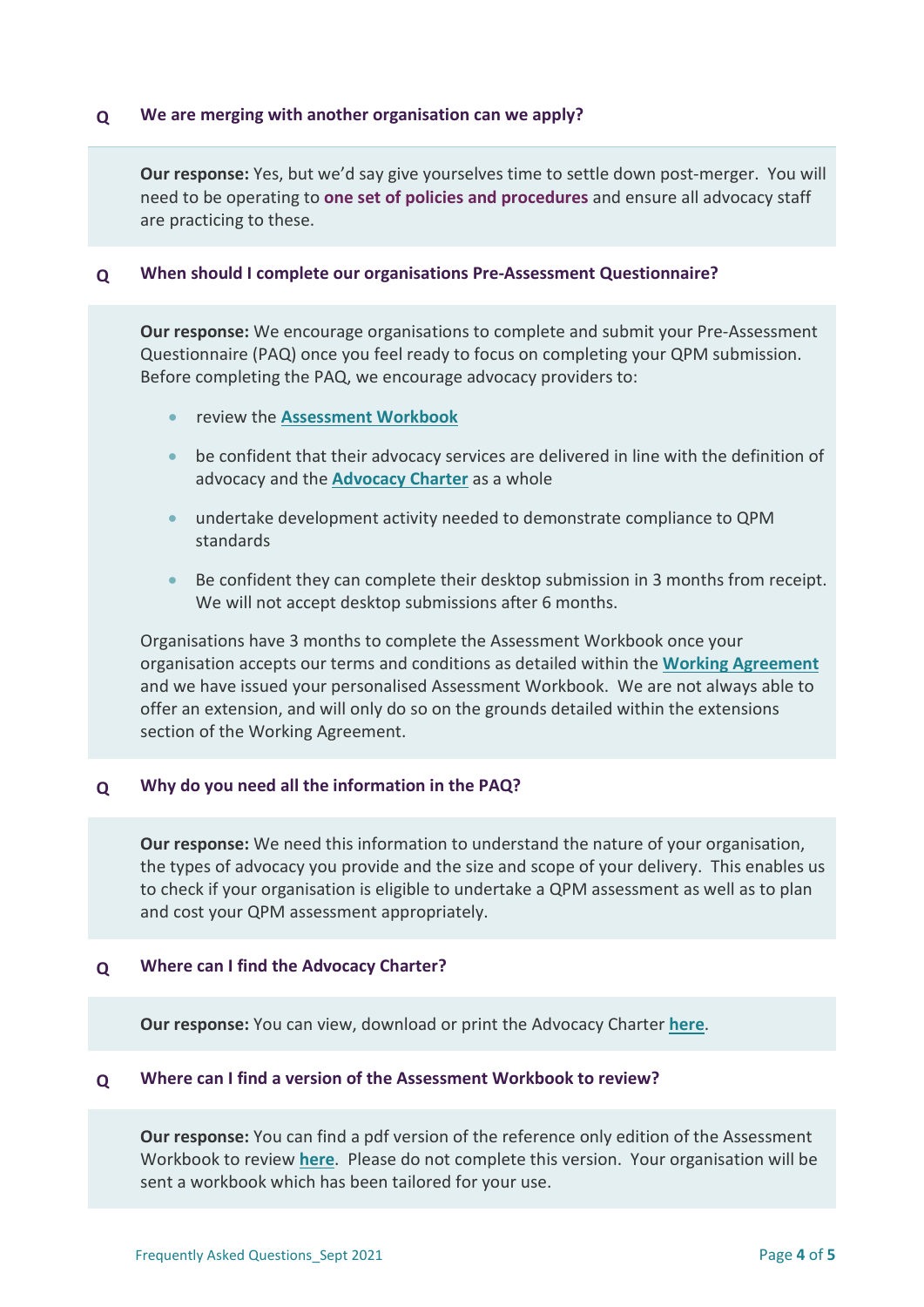# **Q We are merging with another organisation can we apply?**

**Our response:** Yes, but we'd say give yourselves time to settle down post-merger. You will need to be operating to **one set of policies and procedures** and ensure all advocacy staff are practicing to these.

# <span id="page-3-0"></span>**Q When should I complete our organisations Pre-Assessment Questionnaire?**

**Our response:** We encourage organisations to complete and submit your Pre-Assessment Questionnaire (PAQ) once you feel ready to focus on completing your QPM submission. Before completing the PAQ, we encourage advocacy providers to:

- review the **[Assessment Workbook](http://www.qualityadvocacy.org.uk/resources/qpm-workbook/)**
- be confident that their advocacy services are delivered in line with the definition of advocacy and the **[Advocacy Charter](http://www.qualityadvocacy.org.uk/resources/advocacy-charter/)** as a whole
- undertake development activity needed to demonstrate compliance to QPM standards
- Be confident they can complete their desktop submission in 3 months from receipt. We will not accept desktop submissions after 6 months.

Organisations have 3 months to complete the Assessment Workbook once your organisation accepts our terms and conditions as detailed within the **[Working Agreement](http://www.qualityadvocacy.org.uk/resources/working-agreement/)** and we have issued your personalised Assessment Workbook. We are not always able to offer an extension, and will only do so on the grounds detailed within the extensions section of the Working Agreement.

# **Q Why do you need all the information in the PAQ?**

**Our response:** We need this information to understand the nature of your organisation, the types of advocacy you provide and the size and scope of your delivery. This enables us to check if your organisation is eligible to undertake a QPM assessment as well as to plan and cost your QPM assessment appropriately.

# **Q Where can I find the Advocacy Charter?**

**Our response:** You can view, download or print the Advocacy Charter **[here](http://www.qualityadvocacy.org.uk/resources/advocacy-charter/)**.

# **Q Where can I find a version of the Assessment Workbook to review?**

**Our response:** You can find a pdf version of the reference only edition of the Assessment Workbook to review **[here](http://www.qualityadvocacy.org.uk/resources/qpm-workbook/)**. Please do not complete this version. Your organisation will be sent a workbook which has been tailored for your use.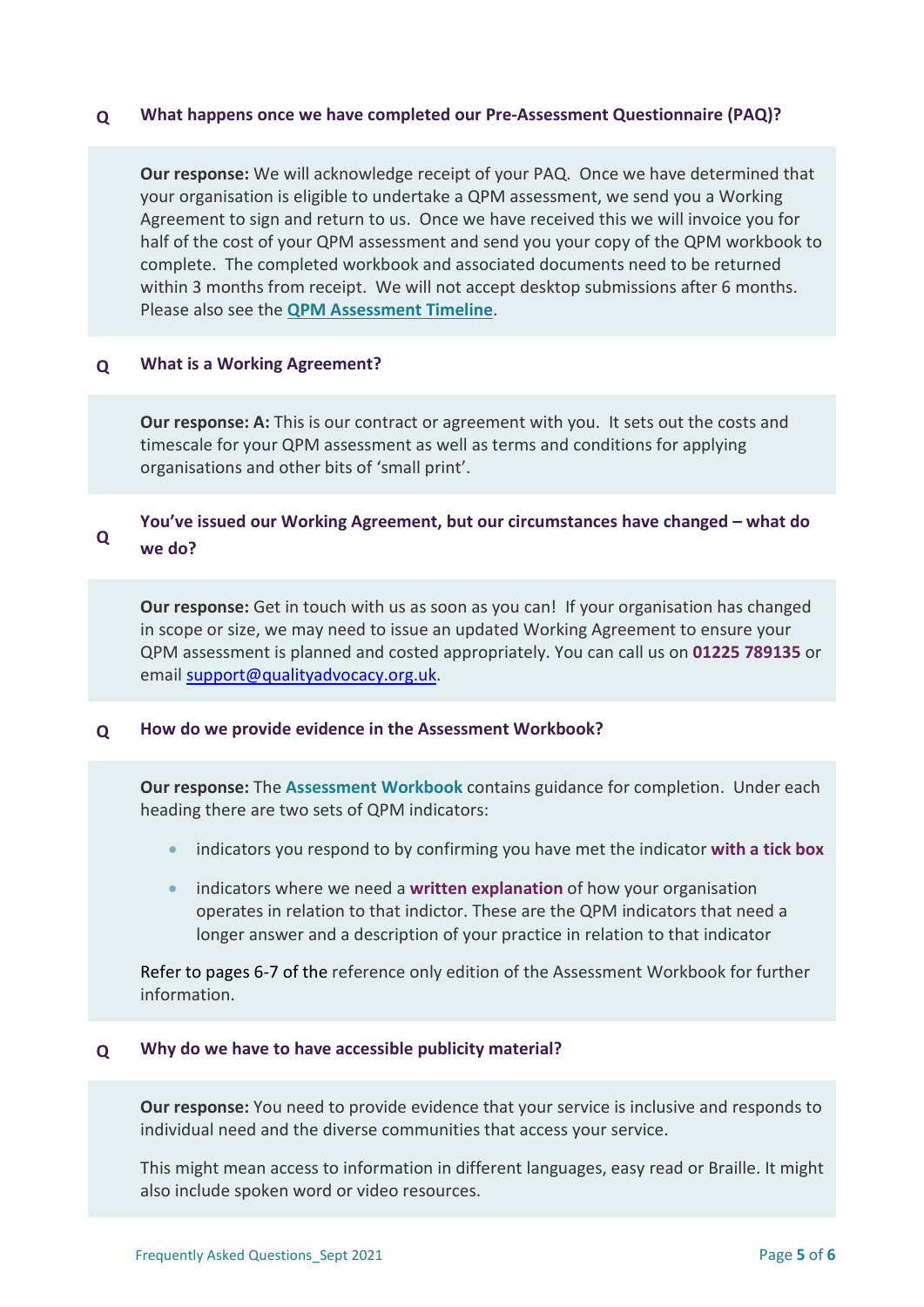# **Q What happens once we have completed our Pre-Assessment Questionnaire (PAQ)?**

**Our response:** We will acknowledge receipt of your PAQ. Once we have determined that your organisation is eligible to undertake a QPM assessment, we send you a Working Agreement to sign and return to us. Once we have received this we will invoice you for half of the cost of your QPM assessment and send you your copy of the QPM workbook to complete. The completed workbook and associated documents need to be returned within 3 months from receipt. We will not accept desktop submissions after 6 months. Please also see the **[QPM Assessment Timeline](http://www.qualityadvocacy.org.uk/resources/timeline/)**.

# <span id="page-4-0"></span>**Q What is a Working Agreement?**

**Our response: A:** This is our contract or agreement with you. It sets out the costs and timescale for your QPM assessment as well as terms and conditions for applying organisations and other bits of 'small print'.

#### **Q You've issued our Working Agreement, but our circumstances have changed – what do we do?**

**Our response:** Get in touch with us as soon as you can! If your organisation has changed in scope or size, we may need to issue an updated Working Agreement to ensure your QPM assessment is planned and costed appropriately. You can call us on **01225 789135** or email [support@qualityadvocacy.org.uk.](mailto:support@qualityadvocacy.org.uk)

# <span id="page-4-1"></span>**Q How do we provide evidence in the Assessment Workbook?**

**Our response:** The **Assessment Workbook** contains guidance for completion. Under each heading there are two sets of QPM indicators:

- indicators you respond to by confirming you have met the indicator **with a tick box**
- indicators where we need a **written explanation** of how your organisation operates in relation to that indictor. These are the QPM indicators that need a longer answer and a description of your practice in relation to that indicator

Refer to pages 6-7 of the reference only edition of the Assessment Workbook for further information.

# **Q Why do we have to have accessible publicity material?**

**Our response:** You need to provide evidence that your service is inclusive and responds to individual need and the diverse communities that access your service.

This might mean access to information in different languages, easy read or Braille. It might also include spoken word or video resources.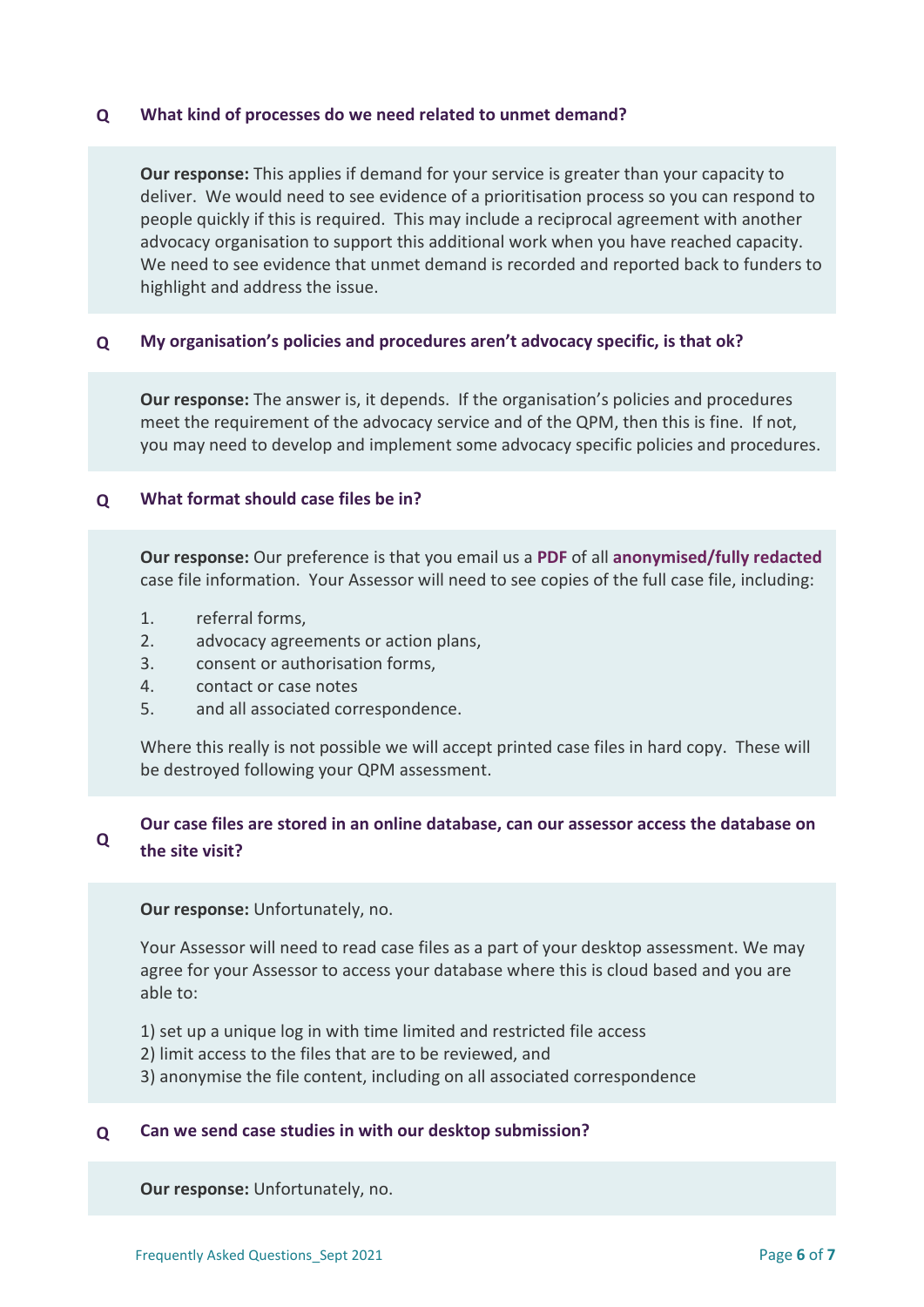# **Q What kind of processes do we need related to unmet demand?**

**Our response:** This applies if demand for your service is greater than your capacity to deliver. We would need to see evidence of a prioritisation process so you can respond to people quickly if this is required. This may include a reciprocal agreement with another advocacy organisation to support this additional work when you have reached capacity. We need to see evidence that unmet demand is recorded and reported back to funders to highlight and address the issue.

# **Q My organisation's policies and procedures aren't advocacy specific, is that ok?**

**Our response:** The answer is, it depends. If the organisation's policies and procedures meet the requirement of the advocacy service and of the QPM, then this is fine. If not, you may need to develop and implement some advocacy specific policies and procedures.

# **Q What format should case files be in?**

**Our response:** Our preference is that you email us a **PDF** of all **anonymised/fully redacted** case file information. Your Assessor will need to see copies of the full case file, including:

- 1. referral forms,
- 2. advocacy agreements or action plans,
- 3. consent or authorisation forms,
- 4. contact or case notes
- 5. and all associated correspondence.

Where this really is not possible we will accept printed case files in hard copy. These will be destroyed following your QPM assessment.

#### **Q Our case files are stored in an online database, can our assessor access the database on the site visit?**

**Our response:** Unfortunately, no.

Your Assessor will need to read case files as a part of your desktop assessment. We may agree for your Assessor to access your database where this is cloud based and you are able to:

- 1) set up a unique log in with time limited and restricted file access
- 2) limit access to the files that are to be reviewed, and
- 3) anonymise the file content, including on all associated correspondence

# **Q Can we send case studies in with our desktop submission?**

**Our response:** Unfortunately, no.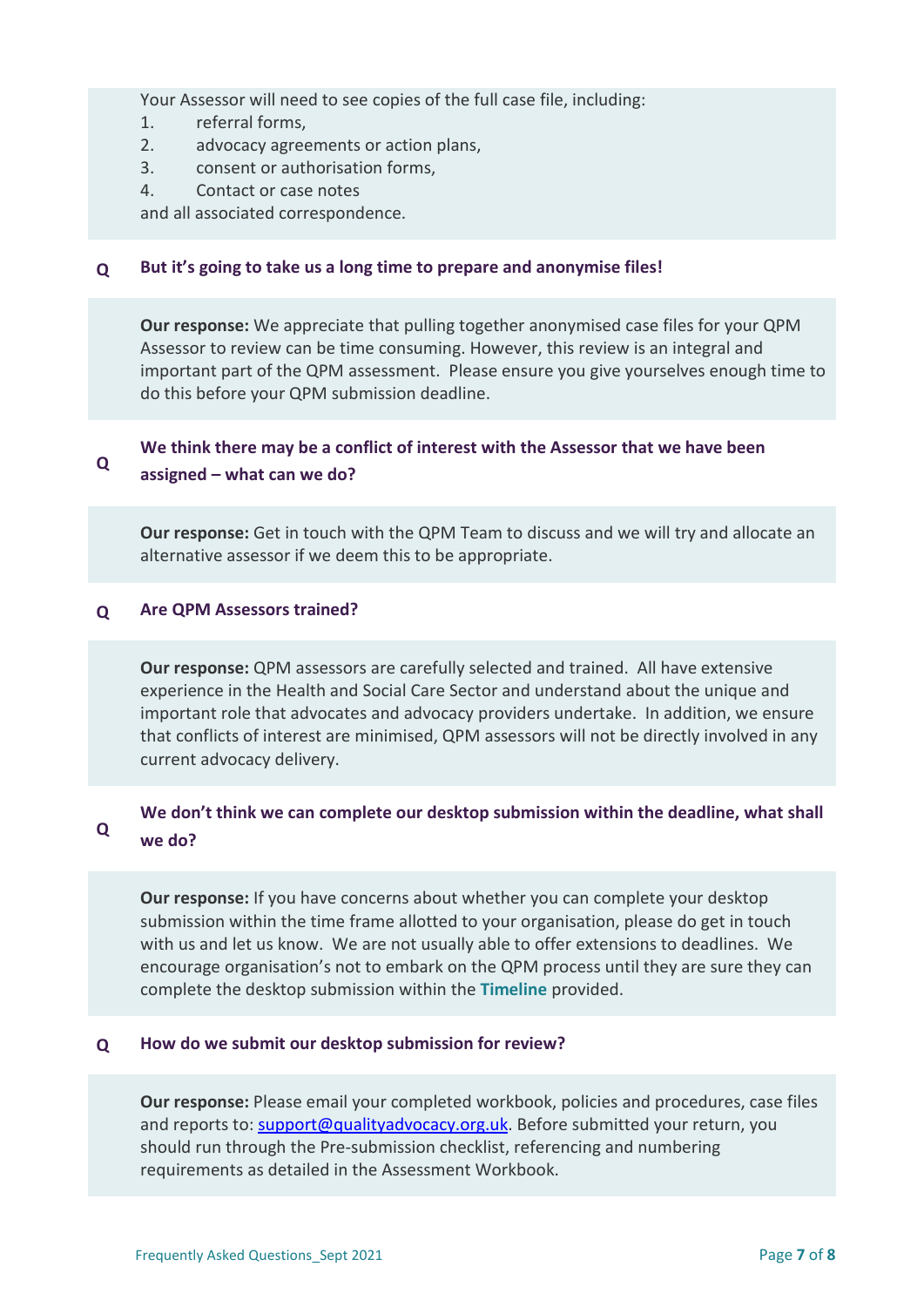Your Assessor will need to see copies of the full case file, including:

- 1. referral forms,
- 2. advocacy agreements or action plans,
- 3. consent or authorisation forms,
- 4. Contact or case notes

and all associated correspondence.

# **Q But it's going to take us a long time to prepare and anonymise files!**

**Our response:** We appreciate that pulling together anonymised case files for your QPM Assessor to review can be time consuming. However, this review is an integral and important part of the QPM assessment. Please ensure you give yourselves enough time to do this before your QPM submission deadline.

#### **Q We think there may be a conflict of interest with the Assessor that we have been assigned – what can we do?**

**Our response:** Get in touch with the QPM Team to discuss and we will try and allocate an alternative assessor if we deem this to be appropriate.

# **Q Are QPM Assessors trained?**

**Our response:** QPM assessors are carefully selected and trained. All have extensive experience in the Health and Social Care Sector and understand about the unique and important role that advocates and advocacy providers undertake. In addition, we ensure that conflicts of interest are minimised, QPM assessors will not be directly involved in any current advocacy delivery.

#### **Q We don't think we can complete our desktop submission within the deadline, what shall we do?**

**Our response:** If you have concerns about whether you can complete your desktop submission within the time frame allotted to your organisation, please do get in touch with us and let us know. We are not usually able to offer extensions to deadlines. We encourage organisation's not to embark on the QPM process until they are sure they can complete the desktop submission within the **Timeline** provided.

# **Q How do we submit our desktop submission for review?**

**Our response:** Please email your completed workbook, policies and procedures, case files and reports to: [support@qualityadvocacy.org.uk.](mailto:support@qualityadvocacy.org.uk) Before submitted your return, you should run through the Pre-submission checklist, referencing and numbering requirements as detailed in the Assessment Workbook.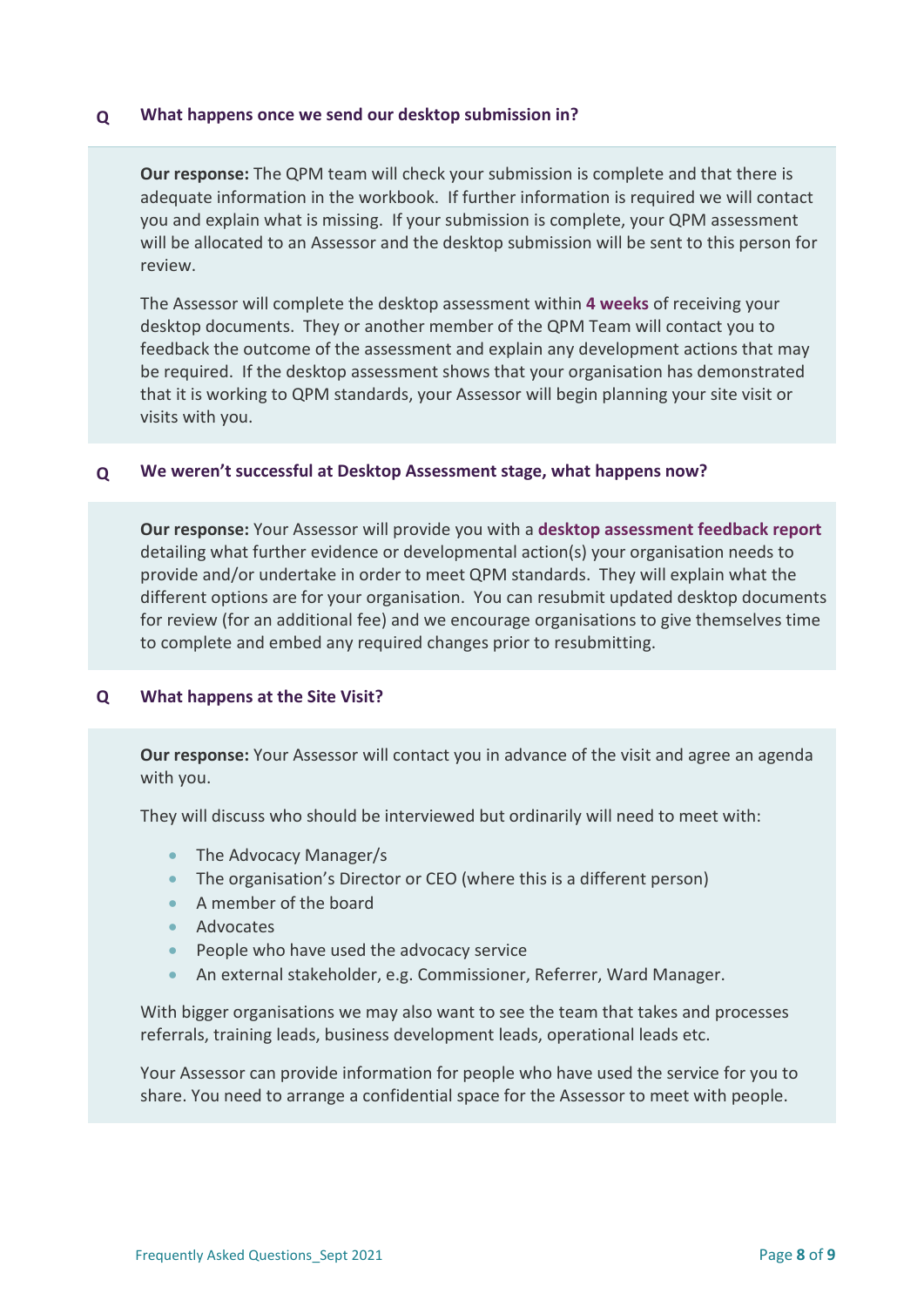# **Q What happens once we send our desktop submission in?**

**Our response:** The QPM team will check your submission is complete and that there is adequate information in the workbook. If further information is required we will contact you and explain what is missing. If your submission is complete, your QPM assessment will be allocated to an Assessor and the desktop submission will be sent to this person for review.

The Assessor will complete the desktop assessment within **4 weeks** of receiving your desktop documents. They or another member of the QPM Team will contact you to feedback the outcome of the assessment and explain any development actions that may be required. If the desktop assessment shows that your organisation has demonstrated that it is working to QPM standards, your Assessor will begin planning your site visit or visits with you.

# **Q We weren't successful at Desktop Assessment stage, what happens now?**

**Our response:** Your Assessor will provide you with a **desktop assessment feedback report** detailing what further evidence or developmental action(s) your organisation needs to provide and/or undertake in order to meet QPM standards. They will explain what the different options are for your organisation. You can resubmit updated desktop documents for review (for an additional fee) and we encourage organisations to give themselves time to complete and embed any required changes prior to resubmitting.

# <span id="page-7-0"></span>**Q What happens at the Site Visit?**

**Our response:** Your Assessor will contact you in advance of the visit and agree an agenda with you.

They will discuss who should be interviewed but ordinarily will need to meet with:

- The Advocacy Manager/s
- The organisation's Director or CEO (where this is a different person)
- A member of the board
- **Advocates**
- People who have used the advocacy service
- An external stakeholder, e.g. Commissioner, Referrer, Ward Manager.

With bigger organisations we may also want to see the team that takes and processes referrals, training leads, business development leads, operational leads etc.

Your Assessor can provide information for people who have used the service for you to share. You need to arrange a confidential space for the Assessor to meet with people.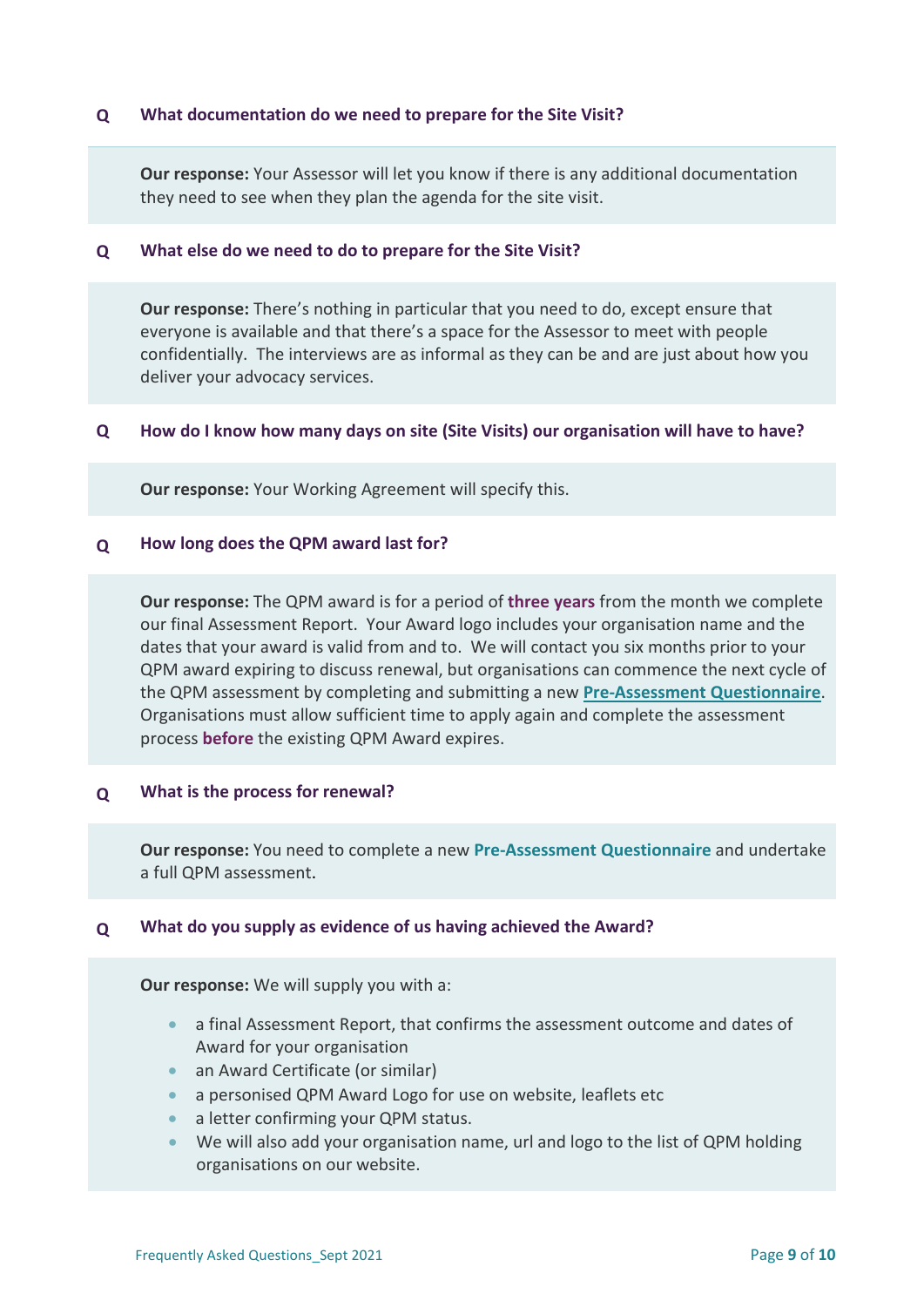# **Q What documentation do we need to prepare for the Site Visit?**

**Our response:** Your Assessor will let you know if there is any additional documentation they need to see when they plan the agenda for the site visit.

### **Q What else do we need to do to prepare for the Site Visit?**

**Our response:** There's nothing in particular that you need to do, except ensure that everyone is available and that there's a space for the Assessor to meet with people confidentially. The interviews are as informal as they can be and are just about how you deliver your advocacy services.

### **Q How do I know how many days on site (Site Visits) our organisation will have to have?**

<span id="page-8-0"></span>**Our response:** Your Working Agreement will specify this.

# **Q How long does the QPM award last for?**

**Our response:** The QPM award is for a period of **three years** from the month we complete our final Assessment Report. Your Award logo includes your organisation name and the dates that your award is valid from and to. We will contact you six months prior to your QPM award expiring to discuss renewal, but organisations can commence the next cycle of the QPM assessment by completing and submitting a new **[Pre-Assessment Questionnaire](http://www.qualityadvocacy.org.uk/resources/pre-assessment-questionnaire/)**. Organisations must allow sufficient time to apply again and complete the assessment process **before** the existing QPM Award expires.

### **Q What is the process for renewal?**

**Our response:** You need to complete a new **Pre-Assessment Questionnaire** and undertake a full QPM assessment.

### **Q What do you supply as evidence of us having achieved the Award?**

**Our response:** We will supply you with a:

- a final Assessment Report, that confirms the assessment outcome and dates of Award for your organisation
- an Award Certificate (or similar)
- a personised QPM Award Logo for use on website, leaflets etc
- a letter confirming your QPM status.
- We will also add your organisation name, url and logo to the list of QPM holding organisations on our website.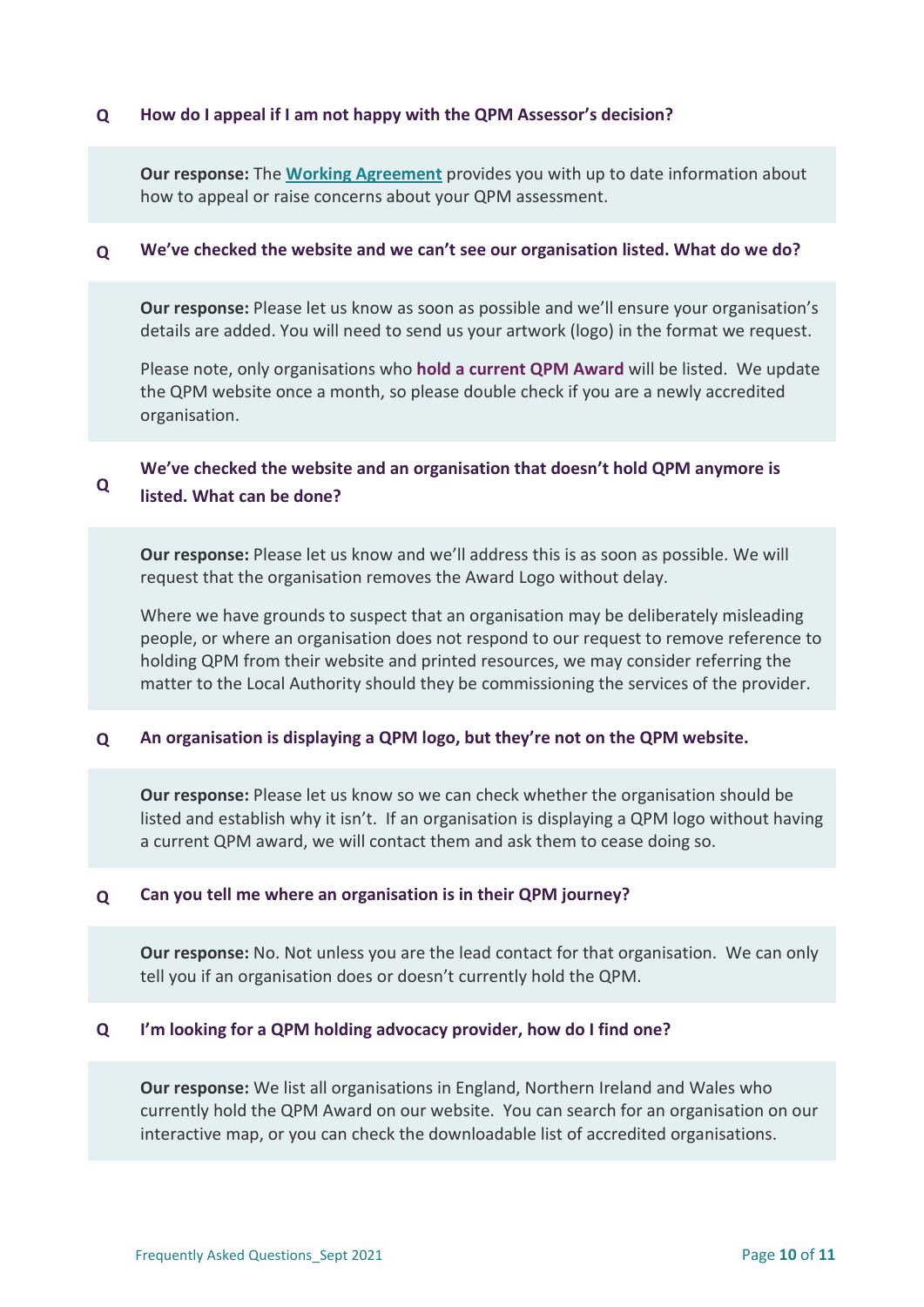# **Q How do I appeal if I am not happy with the QPM Assessor's decision?**

**Our response:** The **[Working Agreement](http://www.qualityadvocacy.org.uk/resources/working-agreement/)** provides you with up to date information about how to appeal or raise concerns about your QPM assessment.

# **Q We've checked the website and we can't see our organisation listed. What do we do?**

**Our response:** Please let us know as soon as possible and we'll ensure your organisation's details are added. You will need to send us your artwork (logo) in the format we request.

Please note, only organisations who **hold a current QPM Award** will be listed. We update the QPM website once a month, so please double check if you are a newly accredited organisation.

#### **Q We've checked the website and an organisation that doesn't hold QPM anymore is listed. What can be done?**

**Our response:** Please let us know and we'll address this is as soon as possible. We will request that the organisation removes the Award Logo without delay.

Where we have grounds to suspect that an organisation may be deliberately misleading people, or where an organisation does not respond to our request to remove reference to holding QPM from their website and printed resources, we may consider referring the matter to the Local Authority should they be commissioning the services of the provider.

# **Q An organisation is displaying a QPM logo, but they're not on the QPM website.**

**Our response:** Please let us know so we can check whether the organisation should be listed and establish why it isn't. If an organisation is displaying a QPM logo without having a current QPM award, we will contact them and ask them to cease doing so.

# **Q Can you tell me where an organisation is in their QPM journey?**

**Our response:** No. Not unless you are the lead contact for that organisation. We can only tell you if an organisation does or doesn't currently hold the QPM.

# <span id="page-9-0"></span>**Q I'm looking for a QPM holding advocacy provider, how do I find one?**

**Our response:** We list all organisations in England, Northern Ireland and Wales who currently hold the QPM Award on our website. You can search for an organisation on our interactive map, or you can check the downloadable list of accredited organisations.